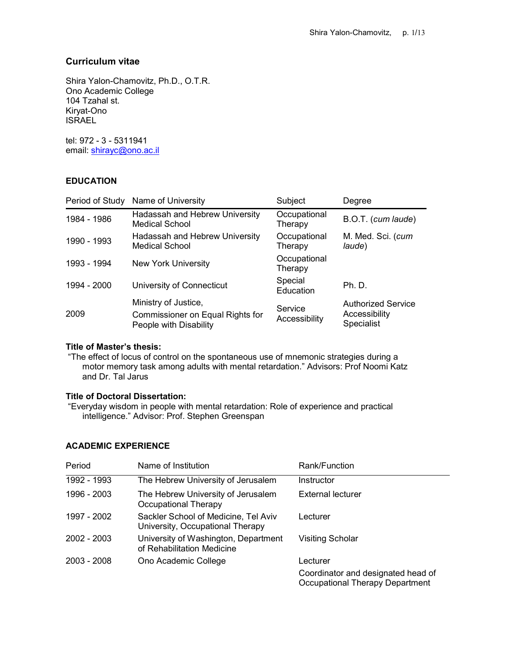# Curriculum vitae

Shira Yalon-Chamovitz, Ph.D., O.T.R. Ono Academic College 104 Tzahal st. Kiryat-Ono **ISRAEL** 

tel: 972 - 3 - 5311941 email: shirayc@ono.ac.il

## **EDUCATION**

|             | Period of Study Name of University                                                        | Subject                  | Degree                                                   |
|-------------|-------------------------------------------------------------------------------------------|--------------------------|----------------------------------------------------------|
| 1984 - 1986 | Hadassah and Hebrew University<br>Medical School                                          | Occupational<br>Therapy  | B.O.T. (cum laude)                                       |
| 1990 - 1993 | Hadassah and Hebrew University<br><b>Medical School</b>                                   | Occupational<br>Therapy  | M. Med. Sci. (cum<br>laude)                              |
| 1993 - 1994 | <b>New York University</b>                                                                | Occupational<br>Therapy  |                                                          |
| 1994 - 2000 | University of Connecticut                                                                 | Special<br>Education     | <b>Ph. D.</b>                                            |
| 2009        | Ministry of Justice,<br><b>Commissioner on Equal Rights for</b><br>People with Disability | Service<br>Accessibility | <b>Authorized Service</b><br>Accessibility<br>Specialist |

## Title of Master's thesis:

 "The effect of locus of control on the spontaneous use of mnemonic strategies during a motor memory task among adults with mental retardation." Advisors: Prof Noomi Katz and Dr. Tal Jarus

## Title of Doctoral Dissertation:

 "Everyday wisdom in people with mental retardation: Role of experience and practical intelligence." Advisor: Prof. Stephen Greenspan

## ACADEMIC EXPERIENCE

| Period        | Name of Institution                                                      | Rank/Function                                                                |
|---------------|--------------------------------------------------------------------------|------------------------------------------------------------------------------|
| 1992 - 1993   | The Hebrew University of Jerusalem                                       | Instructor                                                                   |
| 1996 - 2003   | The Hebrew University of Jerusalem<br>Occupational Therapy               | External lecturer                                                            |
| 1997 - 2002   | Sackler School of Medicine, Tel Aviv<br>University, Occupational Therapy | Lecturer                                                                     |
| $2002 - 2003$ | University of Washington, Department<br>of Rehabilitation Medicine       | <b>Visiting Scholar</b>                                                      |
| $2003 - 2008$ | Ono Academic College                                                     | Lecturer                                                                     |
|               |                                                                          | Coordinator and designated head of<br><b>Occupational Therapy Department</b> |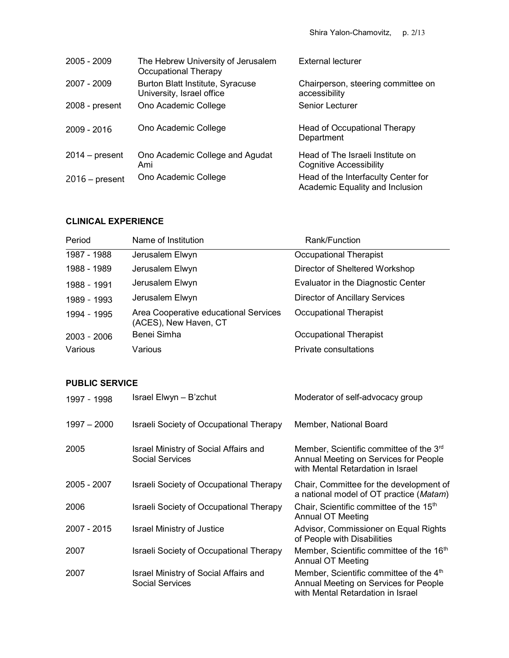| $2005 - 2009$    | The Hebrew University of Jerusalem<br>Occupational Therapy    | External lecturer                                                      |
|------------------|---------------------------------------------------------------|------------------------------------------------------------------------|
| 2007 - 2009      | Burton Blatt Institute, Syracuse<br>University, Israel office | Chairperson, steering committee on<br>accessibility                    |
| 2008 - present   | Ono Academic College                                          | Senior Lecturer                                                        |
| $2009 - 2016$    | Ono Academic College                                          | Head of Occupational Therapy<br>Department                             |
| $2014 - present$ | Ono Academic College and Agudat<br>Ami                        | Head of The Israeli Institute on<br><b>Cognitive Accessibility</b>     |
| $2016$ – present | Ono Academic College                                          | Head of the Interfaculty Center for<br>Academic Equality and Inclusion |

# CLINICAL EXPERIENCE

| Period        | Name of Institution                                            | Rank/Function                         |
|---------------|----------------------------------------------------------------|---------------------------------------|
| 1987 - 1988   | Jerusalem Elwyn                                                | Occupational Therapist                |
| 1988 - 1989   | Jerusalem Elwyn                                                | Director of Sheltered Workshop        |
| 1988 - 1991   | Jerusalem Elwyn                                                | Evaluator in the Diagnostic Center    |
| 1989 - 1993   | Jerusalem Elwyn                                                | <b>Director of Ancillary Services</b> |
| 1994 - 1995   | Area Cooperative educational Services<br>(ACES), New Haven, CT | Occupational Therapist                |
| $2003 - 2006$ | Benei Simha                                                    | Occupational Therapist                |
| Various       | Various                                                        | Private consultations                 |

# PUBLIC SERVICE

| 1997 - 1998 | Israel Elwyn – B'zchut                                          | Moderator of self-advocacy group                                                                                                  |
|-------------|-----------------------------------------------------------------|-----------------------------------------------------------------------------------------------------------------------------------|
| 1997 - 2000 | Israeli Society of Occupational Therapy                         | Member, National Board                                                                                                            |
| 2005        | Israel Ministry of Social Affairs and<br><b>Social Services</b> | Member, Scientific committee of the 3 <sup>rd</sup><br>Annual Meeting on Services for People<br>with Mental Retardation in Israel |
| 2005 - 2007 | <b>Israeli Society of Occupational Therapy</b>                  | Chair, Committee for the development of<br>a national model of OT practice (Matam)                                                |
| 2006        | <b>Israeli Society of Occupational Therapy</b>                  | Chair, Scientific committee of the 15 <sup>th</sup><br>Annual OT Meeting                                                          |
| 2007 - 2015 | <b>Israel Ministry of Justice</b>                               | Advisor, Commissioner on Equal Rights<br>of People with Disabilities                                                              |
| 2007        | <b>Israeli Society of Occupational Therapy</b>                  | Member, Scientific committee of the 16 <sup>th</sup><br>Annual OT Meeting                                                         |
| 2007        | Israel Ministry of Social Affairs and<br><b>Social Services</b> | Member, Scientific committee of the 4 <sup>th</sup><br>Annual Meeting on Services for People<br>with Mental Retardation in Israel |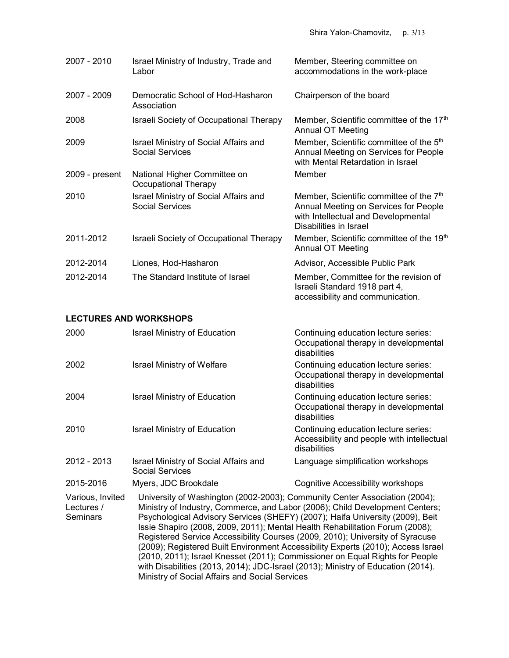| 2007 - 2010    | Israel Ministry of Industry, Trade and<br>Labor                 | Member, Steering committee on<br>accommodations in the work-place                                                                                             |
|----------------|-----------------------------------------------------------------|---------------------------------------------------------------------------------------------------------------------------------------------------------------|
| 2007 - 2009    | Democratic School of Hod-Hasharon<br>Association                | Chairperson of the board                                                                                                                                      |
| 2008           | <b>Israeli Society of Occupational Therapy</b>                  | Member, Scientific committee of the 17th<br><b>Annual OT Meeting</b>                                                                                          |
| 2009           | Israel Ministry of Social Affairs and<br><b>Social Services</b> | Member, Scientific committee of the 5 <sup>th</sup><br>Annual Meeting on Services for People<br>with Mental Retardation in Israel                             |
| 2009 - present | National Higher Committee on<br>Occupational Therapy            | Member                                                                                                                                                        |
| 2010           | Israel Ministry of Social Affairs and<br><b>Social Services</b> | Member, Scientific committee of the 7 <sup>th</sup><br>Annual Meeting on Services for People<br>with Intellectual and Developmental<br>Disabilities in Israel |
| 2011-2012      | <b>Israeli Society of Occupational Therapy</b>                  | Member, Scientific committee of the 19th<br><b>Annual OT Meeting</b>                                                                                          |
| 2012-2014      | Liones, Hod-Hasharon                                            | Advisor, Accessible Public Park                                                                                                                               |
| 2012-2014      | The Standard Institute of Israel                                | Member, Committee for the revision of<br>Israeli Standard 1918 part 4,<br>accessibility and communication.                                                    |

#### LECTURES AND WORKSHOPS

| 2000                                       | <b>Israel Ministry of Education</b>                                                                                                                                                                                                                                                                                                                                                                                                                                                                                                                                              | Continuing education lecture series:<br>Occupational therapy in developmental<br>disabilities      |  |
|--------------------------------------------|----------------------------------------------------------------------------------------------------------------------------------------------------------------------------------------------------------------------------------------------------------------------------------------------------------------------------------------------------------------------------------------------------------------------------------------------------------------------------------------------------------------------------------------------------------------------------------|----------------------------------------------------------------------------------------------------|--|
| 2002                                       | <b>Israel Ministry of Welfare</b>                                                                                                                                                                                                                                                                                                                                                                                                                                                                                                                                                | Continuing education lecture series:<br>Occupational therapy in developmental<br>disabilities      |  |
| 2004                                       | <b>Israel Ministry of Education</b>                                                                                                                                                                                                                                                                                                                                                                                                                                                                                                                                              | Continuing education lecture series:<br>Occupational therapy in developmental<br>disabilities      |  |
| 2010                                       | <b>Israel Ministry of Education</b>                                                                                                                                                                                                                                                                                                                                                                                                                                                                                                                                              | Continuing education lecture series:<br>Accessibility and people with intellectual<br>disabilities |  |
| 2012 - 2013                                | Israel Ministry of Social Affairs and<br><b>Social Services</b>                                                                                                                                                                                                                                                                                                                                                                                                                                                                                                                  | Language simplification workshops                                                                  |  |
| 2015-2016                                  | Myers, JDC Brookdale                                                                                                                                                                                                                                                                                                                                                                                                                                                                                                                                                             | Cognitive Accessibility workshops                                                                  |  |
| Various, Invited<br>Lectures /<br>Seminars | University of Washington (2002-2003); Community Center Association (2004);<br>Ministry of Industry, Commerce, and Labor (2006); Child Development Centers;<br>Psychological Advisory Services (SHEFY) (2007); Haifa University (2009), Beit<br>Issie Shapiro (2008, 2009, 2011); Mental Health Rehabilitation Forum (2008);<br>Registered Service Accessibility Courses (2009, 2010); University of Syracuse<br>(2009); Registered Built Environment Accessibility Experts (2010); Access Israel<br>(2010, 2011); Israel Knesset (2011); Commissioner on Equal Rights for People |                                                                                                    |  |

Ministry of Social Affairs and Social Services

with Disabilities (2013, 2014); JDC-Israel (2013); Ministry of Education (2014).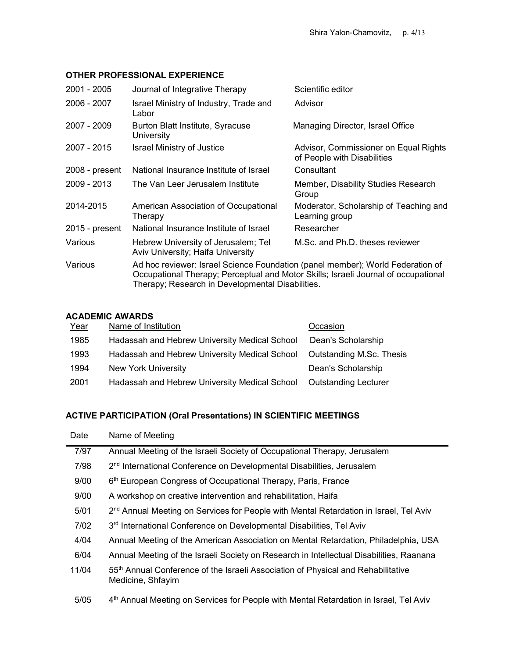## OTHER PROFESSIONAL EXPERIENCE

| 2001 - 2005    | Journal of Integrative Therapy                                                                                                                                                                                           | Scientific editor                                                    |  |
|----------------|--------------------------------------------------------------------------------------------------------------------------------------------------------------------------------------------------------------------------|----------------------------------------------------------------------|--|
| 2006 - 2007    | Israel Ministry of Industry, Trade and<br>Labor                                                                                                                                                                          | Advisor                                                              |  |
| 2007 - 2009    | Burton Blatt Institute, Syracuse<br>University                                                                                                                                                                           | Managing Director, Israel Office                                     |  |
| 2007 - 2015    | Israel Ministry of Justice                                                                                                                                                                                               | Advisor, Commissioner on Equal Rights<br>of People with Disabilities |  |
| 2008 - present | National Insurance Institute of Israel                                                                                                                                                                                   | Consultant                                                           |  |
| 2009 - 2013    | The Van Leer Jerusalem Institute                                                                                                                                                                                         | Member, Disability Studies Research<br>Group                         |  |
| 2014-2015      | American Association of Occupational<br>Therapy                                                                                                                                                                          | Moderator, Scholarship of Teaching and<br>Learning group             |  |
| 2015 - present | National Insurance Institute of Israel                                                                                                                                                                                   | Researcher                                                           |  |
| Various        | Hebrew University of Jerusalem; Tel<br>Aviv University; Haifa University                                                                                                                                                 | M.Sc. and Ph.D. theses reviewer                                      |  |
| Various        | Ad hoc reviewer: Israel Science Foundation (panel member); World Federation of<br>Occupational Therapy; Perceptual and Motor Skills; Israeli Journal of occupational<br>Therapy; Research in Developmental Disabilities. |                                                                      |  |

## ACADEMIC AWARDS

| Year | Name of Institution                           | Occasion                        |
|------|-----------------------------------------------|---------------------------------|
| 1985 | Hadassah and Hebrew University Medical School | Dean's Scholarship              |
| 1993 | Hadassah and Hebrew University Medical School | <b>Outstanding M.Sc. Thesis</b> |
| 1994 | <b>New York University</b>                    | Dean's Scholarship              |
| 2001 | Hadassah and Hebrew University Medical School | <b>Outstanding Lecturer</b>     |

# ACTIVE PARTICIPATION (Oral Presentations) IN SCIENTIFIC MEETINGS

| Date   | Name of Meeting                                                                                                   |
|--------|-------------------------------------------------------------------------------------------------------------------|
| 7/97   | Annual Meeting of the Israeli Society of Occupational Therapy, Jerusalem                                          |
| 7/98   | 2 <sup>nd</sup> International Conference on Developmental Disabilities, Jerusalem                                 |
| 9/00   | 6 <sup>th</sup> European Congress of Occupational Therapy, Paris, France                                          |
| 9/00   | A workshop on creative intervention and rehabilitation, Haifa                                                     |
| 5/01   | 2 <sup>nd</sup> Annual Meeting on Services for People with Mental Retardation in Israel, Tel Aviv                 |
| 7/02   | 3 <sup>rd</sup> International Conference on Developmental Disabilities, Tel Aviv                                  |
| 4/04   | Annual Meeting of the American Association on Mental Retardation, Philadelphia, USA                               |
| 6/04   | Annual Meeting of the Israeli Society on Research in Intellectual Disabilities, Raanana                           |
| 11/04  | 55 <sup>th</sup> Annual Conference of the Israeli Association of Physical and Rehabilitative<br>Medicine, Shfayim |
| $5/05$ | 4 <sup>th</sup> Annual Meeting on Services for People with Mental Retardation in Israel, Tel Aviv                 |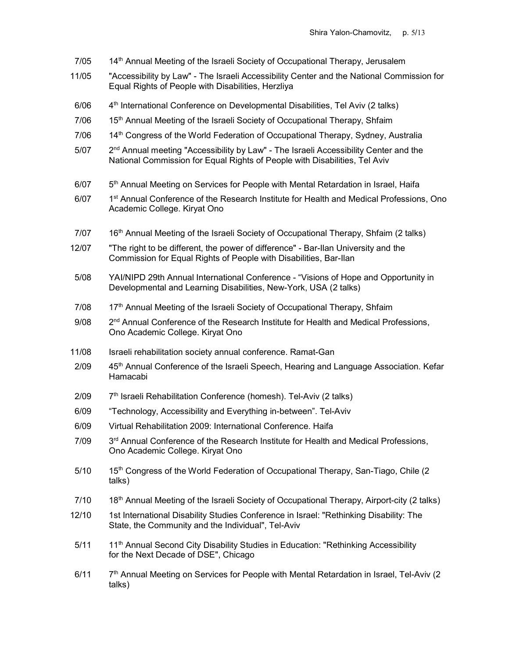- 7/05 14<sup>th</sup> Annual Meeting of the Israeli Society of Occupational Therapy, Jerusalem
- 11/05 "Accessibility by Law" The Israeli Accessibility Center and the National Commission for Equal Rights of People with Disabilities, Herzliya
- $6/06$  4<sup>th</sup> International Conference on Developmental Disabilities, Tel Aviv (2 talks)
- 7/06 15<sup>th</sup> Annual Meeting of the Israeli Society of Occupational Therapy, Shfaim
- 7/06 14<sup>th</sup> Congress of the World Federation of Occupational Therapy, Sydney, Australia
- 5/07 2<sup>nd</sup> Annual meeting "Accessibility by Law" The Israeli Accessibility Center and the National Commission for Equal Rights of People with Disabilities, Tel Aviv
- $6/07$   $5<sup>th</sup>$  Annual Meeting on Services for People with Mental Retardation in Israel, Haifa
- 6/07 1<sup>st</sup> Annual Conference of the Research Institute for Health and Medical Professions, Ono Academic College. Kiryat Ono
- 7/07 16<sup>th</sup> Annual Meeting of the Israeli Society of Occupational Therapy, Shfaim (2 talks)
- 12/07 "The right to be different, the power of difference" Bar-Ilan University and the Commission for Equal Rights of People with Disabilities, Bar-Ilan
- 5/08 YAI/NIPD 29th Annual International Conference "Visions of Hope and Opportunity in Developmental and Learning Disabilities, New-York, USA (2 talks)
- 7/08 17th Annual Meeting of the Israeli Society of Occupational Therapy, Shfaim
- $9/08$   $2<sup>nd</sup>$  Annual Conference of the Research Institute for Health and Medical Professions, Ono Academic College. Kiryat Ono
- 11/08 Israeli rehabilitation society annual conference. Ramat-Gan
- 2/09 45<sup>th</sup> Annual Conference of the Israeli Speech, Hearing and Language Association. Kefar Hamacabi
- $2/09$   $7<sup>th</sup>$  Israeli Rehabilitation Conference (homesh). Tel-Aviv (2 talks)
- 6/09 "Technology, Accessibility and Everything in-between". Tel-Aviv
- 6/09 Virtual Rehabilitation 2009: International Conference. Haifa
- $7/09$   $3<sup>rd</sup>$  Annual Conference of the Research Institute for Health and Medical Professions, Ono Academic College. Kiryat Ono
- $5/10$  15<sup>th</sup> Congress of the World Federation of Occupational Therapy, San-Tiago, Chile (2) talks)
- 7/10 18<sup>th</sup> Annual Meeting of the Israeli Society of Occupational Therapy, Airport-city (2 talks)
- 12/10 1st International Disability Studies Conference in Israel: "Rethinking Disability: The State, the Community and the Individual", Tel-Aviv
- 5/11 1<sup>th</sup> Annual Second City Disability Studies in Education: "Rethinking Accessibility for the Next Decade of DSE", Chicago
- $6/11$   $7<sup>th</sup>$  Annual Meeting on Services for People with Mental Retardation in Israel, Tel-Aviv (2) talks)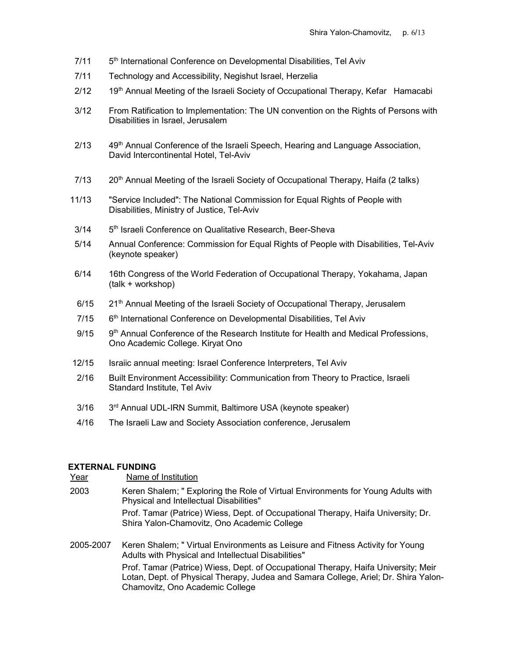- 7/11 5th International Conference on Developmental Disabilities, Tel Aviv
- 7/11 Technology and Accessibility, Negishut Israel, Herzelia
- 2/12 19<sup>th</sup> Annual Meeting of the Israeli Society of Occupational Therapy, Kefar Hamacabi
- 3/12 From Ratification to Implementation: The UN convention on the Rights of Persons with Disabilities in Israel, Jerusalem
- $2/13$  49<sup>th</sup> Annual Conference of the Israeli Speech, Hearing and Language Association, David Intercontinental Hotel, Tel-Aviv
- $7/13$  20<sup>th</sup> Annual Meeting of the Israeli Society of Occupational Therapy, Haifa (2 talks)
- 11/13 "Service Included": The National Commission for Equal Rights of People with Disabilities, Ministry of Justice, Tel-Aviv
- 3/14 5<sup>th</sup> Israeli Conference on Qualitative Research, Beer-Sheva
- 5/14 Annual Conference: Commission for Equal Rights of People with Disabilities, Tel-Aviv (keynote speaker)
- 6/14 16th Congress of the World Federation of Occupational Therapy, Yokahama, Japan (talk + workshop)
- $6/15$  21<sup>th</sup> Annual Meeting of the Israeli Society of Occupational Therapy, Jerusalem
- $7/15$  6<sup>th</sup> International Conference on Developmental Disabilities, Tel Aviv
- $9/15$   $9<sup>th</sup>$  Annual Conference of the Research Institute for Health and Medical Professions, Ono Academic College. Kiryat Ono
- 12/15 Israiic annual meeting: Israel Conference Interpreters, Tel Aviv
- 2/16 Built Environment Accessibility: Communication from Theory to Practice, Israeli Standard Institute, Tel Aviv
- 3/16 3rd Annual UDL-IRN Summit, Baltimore USA (keynote speaker)
- 4/16 The Israeli Law and Society Association conference, Jerusalem

## EXTERNAL FUNDING

Year **Name of Institution** 

- 2003 Keren Shalem; " Exploring the Role of Virtual Environments for Young Adults with Physical and Intellectual Disabilities" Prof. Tamar (Patrice) Wiess, Dept. of Occupational Therapy, Haifa University; Dr. Shira Yalon-Chamovitz, Ono Academic College
- 2005-2007 Keren Shalem; " Virtual Environments as Leisure and Fitness Activity for Young Adults with Physical and Intellectual Disabilities" Prof. Tamar (Patrice) Wiess, Dept. of Occupational Therapy, Haifa University; Meir Lotan, Dept. of Physical Therapy, Judea and Samara College, Ariel; Dr. Shira Yalon-Chamovitz, Ono Academic College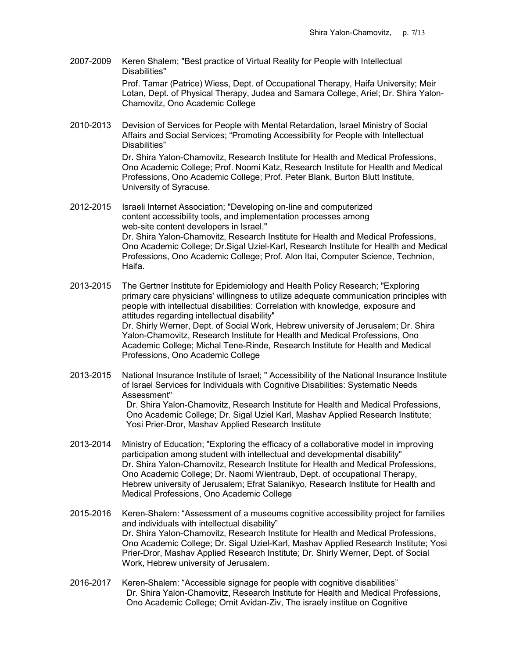2007-2009 Keren Shalem; "Best practice of Virtual Reality for People with Intellectual Disabilities"

> Prof. Tamar (Patrice) Wiess, Dept. of Occupational Therapy, Haifa University; Meir Lotan, Dept. of Physical Therapy, Judea and Samara College, Ariel; Dr. Shira Yalon-Chamovitz, Ono Academic College

2010-2013 Devision of Services for People with Mental Retardation, Israel Ministry of Social Affairs and Social Services; "Promoting Accessibility for People with Intellectual Disabilities"

> Dr. Shira Yalon-Chamovitz, Research Institute for Health and Medical Professions, Ono Academic College; Prof. Noomi Katz, Research Institute for Health and Medical Professions, Ono Academic College; Prof. Peter Blank, Burton Blutt Institute, University of Syracuse.

- 2012-2015 Israeli Internet Association; "Developing on-line and computerized content accessibility tools, and implementation processes among web-site content developers in Israel." Dr. Shira Yalon-Chamovitz, Research Institute for Health and Medical Professions, Ono Academic College; Dr.Sigal Uziel-Karl, Research Institute for Health and Medical Professions, Ono Academic College; Prof. Alon Itai, Computer Science, Technion, Haifa.
- 2013-2015 The Gertner Institute for Epidemiology and Health Policy Research; "Exploring primary care physicians' willingness to utilize adequate communication principles with people with intellectual disabilities: Correlation with knowledge, exposure and attitudes regarding intellectual disability" Dr. Shirly Werner, Dept. of Social Work, Hebrew university of Jerusalem; Dr. Shira Yalon-Chamovitz, Research Institute for Health and Medical Professions, Ono Academic College; Michal Tene-Rinde, Research Institute for Health and Medical Professions, Ono Academic College
- 2013-2015 National Insurance Institute of Israel; " Accessibility of the National Insurance Institute of Israel Services for Individuals with Cognitive Disabilities: Systematic Needs Assessment" Dr. Shira Yalon-Chamovitz, Research Institute for Health and Medical Professions, Ono Academic College; Dr. Sigal Uziel Karl, Mashav Applied Research Institute; Yosi Prier-Dror, Mashav Applied Research Institute
- 2013-2014 Ministry of Education; "Exploring the efficacy of a collaborative model in improving participation among student with intellectual and developmental disability" Dr. Shira Yalon-Chamovitz, Research Institute for Health and Medical Professions, Ono Academic College; Dr. Naomi Wientraub, Dept. of occupational Therapy, Hebrew university of Jerusalem; Efrat Salanikyo, Research Institute for Health and Medical Professions, Ono Academic College
- 2015-2016 Keren-Shalem: "Assessment of a museums cognitive accessibility project for families and individuals with intellectual disability" Dr. Shira Yalon-Chamovitz, Research Institute for Health and Medical Professions, Ono Academic College; Dr. Sigal Uziel-Karl, Mashav Applied Research Institute; Yosi Prier-Dror, Mashav Applied Research Institute; Dr. Shirly Werner, Dept. of Social Work, Hebrew university of Jerusalem.
- 2016-2017 Keren-Shalem: "Accessible signage for people with cognitive disabilities" Dr. Shira Yalon-Chamovitz, Research Institute for Health and Medical Professions, Ono Academic College; Ornit Avidan-Ziv, The israely institue on Cognitive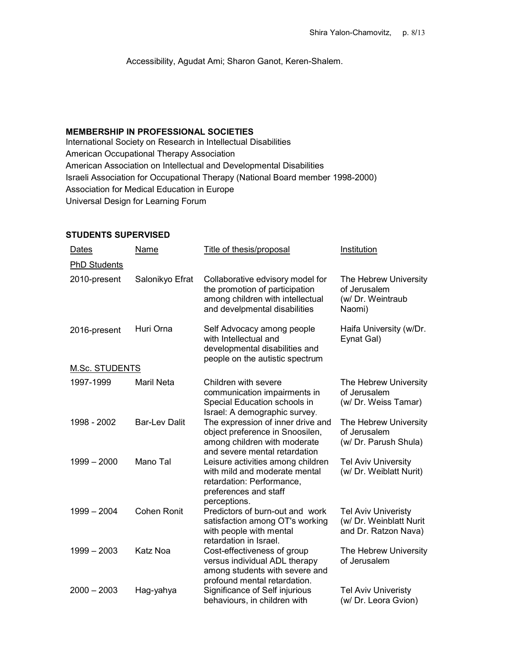Accessibility, Agudat Ami; Sharon Ganot, Keren-Shalem.

## MEMBERSHIP IN PROFESSIONAL SOCIETIES

International Society on Research in Intellectual Disabilities American Occupational Therapy Association American Association on Intellectual and Developmental Disabilities Israeli Association for Occupational Therapy (National Board member 1998-2000) Association for Medical Education in Europe Universal Design for Learning Forum

## STUDENTS SUPERVISED

| Dates               | Name                 | Title of thesis/proposal                                                                                                                 | Institution                                                                   |
|---------------------|----------------------|------------------------------------------------------------------------------------------------------------------------------------------|-------------------------------------------------------------------------------|
| <b>PhD Students</b> |                      |                                                                                                                                          |                                                                               |
| 2010-present        | Salonikyo Efrat      | Collaborative edvisory model for<br>the promotion of participation<br>among children with intellectual<br>and develpmental disabilities  | The Hebrew University<br>of Jerusalem<br>(w/ Dr. Weintraub<br>Naomi)          |
| 2016-present        | Huri Orna            | Self Advocacy among people<br>with Intellectual and<br>developmental disabilities and<br>people on the autistic spectrum                 | Haifa University (w/Dr.<br>Eynat Gal)                                         |
| M.Sc. STUDENTS      |                      |                                                                                                                                          |                                                                               |
| 1997-1999           | <b>Maril Neta</b>    | Children with severe<br>communication impairments in<br>Special Education schools in<br>Israel: A demographic survey.                    | The Hebrew University<br>of Jerusalem<br>(w/ Dr. Weiss Tamar)                 |
| 1998 - 2002         | <b>Bar-Lev Dalit</b> | The expression of inner drive and<br>object preference in Snoosilen,<br>among children with moderate<br>and severe mental retardation    | The Hebrew University<br>of Jerusalem<br>(w/ Dr. Parush Shula)                |
| $1999 - 2000$       | Mano Tal             | Leisure activities among children<br>with mild and moderate mental<br>retardation: Performance,<br>preferences and staff<br>perceptions. | <b>Tel Aviv University</b><br>(w/ Dr. Weiblatt Nurit)                         |
| $1999 - 2004$       | <b>Cohen Ronit</b>   | Predictors of burn-out and work<br>satisfaction among OT's working<br>with people with mental<br>retardation in Israel.                  | <b>Tel Aviv Univeristy</b><br>(w/ Dr. Weinblatt Nurit<br>and Dr. Ratzon Nava) |
| $1999 - 2003$       | Katz Noa             | Cost-effectiveness of group<br>versus individual ADL therapy<br>among students with severe and<br>profound mental retardation.           | The Hebrew University<br>of Jerusalem                                         |
| $2000 - 2003$       | Hag-yahya            | Significance of Self injurious<br>behaviours, in children with                                                                           | <b>Tel Aviv Univeristy</b><br>(w/ Dr. Leora Gvion)                            |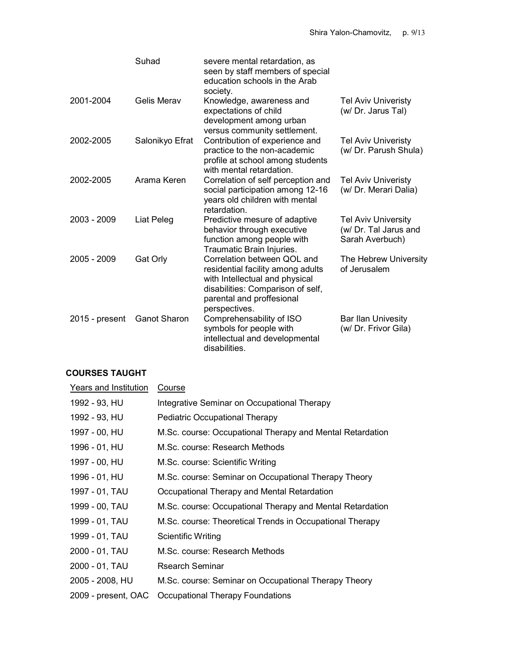|                | Suhad               | severe mental retardation, as<br>seen by staff members of special<br>education schools in the Arab<br>society.                                                                        |                                                                        |
|----------------|---------------------|---------------------------------------------------------------------------------------------------------------------------------------------------------------------------------------|------------------------------------------------------------------------|
| 2001-2004      | <b>Gelis Merav</b>  | Knowledge, awareness and<br>expectations of child<br>development among urban<br>versus community settlement.                                                                          | <b>Tel Aviv Univeristy</b><br>(w/ Dr. Jarus Tal)                       |
| 2002-2005      | Salonikyo Efrat     | Contribution of experience and<br>practice to the non-academic<br>profile at school among students<br>with mental retardation.                                                        | <b>Tel Aviv Univeristy</b><br>(w/ Dr. Parush Shula)                    |
| 2002-2005      | Arama Keren         | Correlation of self perception and<br>social participation among 12-16<br>years old children with mental<br>retardation.                                                              | <b>Tel Aviv Univeristy</b><br>(w/ Dr. Merari Dalia)                    |
| 2003 - 2009    | Liat Peleg          | Predictive mesure of adaptive<br>behavior through executive<br>function among people with<br>Traumatic Brain Injuries.                                                                | <b>Tel Aviv University</b><br>(w/ Dr. Tal Jarus and<br>Sarah Averbuch) |
| $2005 - 2009$  | Gat Orly            | Correlation between QOL and<br>residential facility among adults<br>with Intellectual and physical<br>disabilities: Comparison of self,<br>parental and proffesional<br>perspectives. | The Hebrew University<br>of Jerusalem                                  |
| 2015 - present | <b>Ganot Sharon</b> | Comprehensability of ISO<br>symbols for people with<br>intellectual and developmental<br>disabilities.                                                                                | <b>Bar Ilan Univesity</b><br>(w/ Dr. Frivor Gila)                      |

## COURSES TAUGHT

| Years and Institution | Course                                                    |
|-----------------------|-----------------------------------------------------------|
| 1992 - 93, HU         | Integrative Seminar on Occupational Therapy               |
| 1992 - 93, HU         | <b>Pediatric Occupational Therapy</b>                     |
| 1997 - 00, HU         | M.Sc. course: Occupational Therapy and Mental Retardation |
| 1996 - 01, HU         | M.Sc. course: Research Methods                            |
| 1997 - 00, HU         | M.Sc. course: Scientific Writing                          |
| 1996 - 01, HU         | M.Sc. course: Seminar on Occupational Therapy Theory      |
| 1997 - 01, TAU        | Occupational Therapy and Mental Retardation               |
| 1999 - 00, TAU        | M.Sc. course: Occupational Therapy and Mental Retardation |
| 1999 - 01, TAU        | M.Sc. course: Theoretical Trends in Occupational Therapy  |
| 1999 - 01, TAU        | Scientific Writing                                        |
| 2000 - 01, TAU        | M.Sc. course: Research Methods                            |
| 2000 - 01, TAU        | <b>Rsearch Seminar</b>                                    |
| 2005 - 2008, HU       | M.Sc. course: Seminar on Occupational Therapy Theory      |
| 2009 - present, OAC   | Occupational Therapy Foundations                          |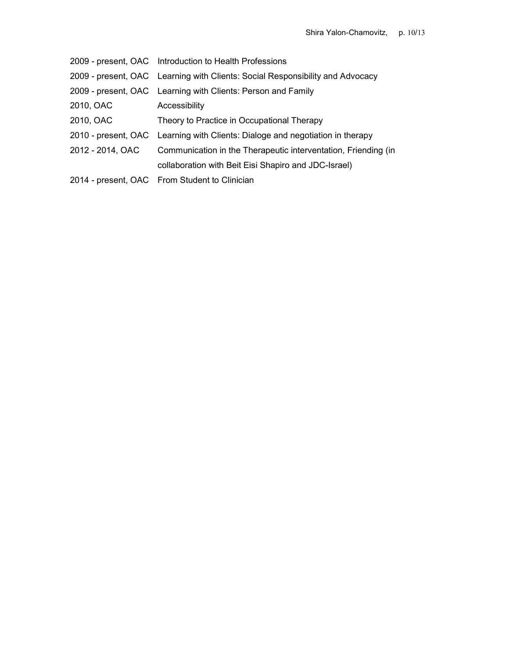|                  | 2009 - present, OAC Introduction to Health Professions                        |
|------------------|-------------------------------------------------------------------------------|
|                  | 2009 - present, OAC Learning with Clients: Social Responsibility and Advocacy |
|                  | 2009 - present, OAC Learning with Clients: Person and Family                  |
| 2010, OAC        | Accessibility                                                                 |
| 2010, OAC        | Theory to Practice in Occupational Therapy                                    |
|                  | 2010 - present, OAC Learning with Clients: Dialoge and negotiation in therapy |
| 2012 - 2014, OAC | Communication in the Therapeutic interventation, Friending (in                |
|                  | collaboration with Beit Eisi Shapiro and JDC-Israel)                          |
|                  | 2014 - present, OAC From Student to Clinician                                 |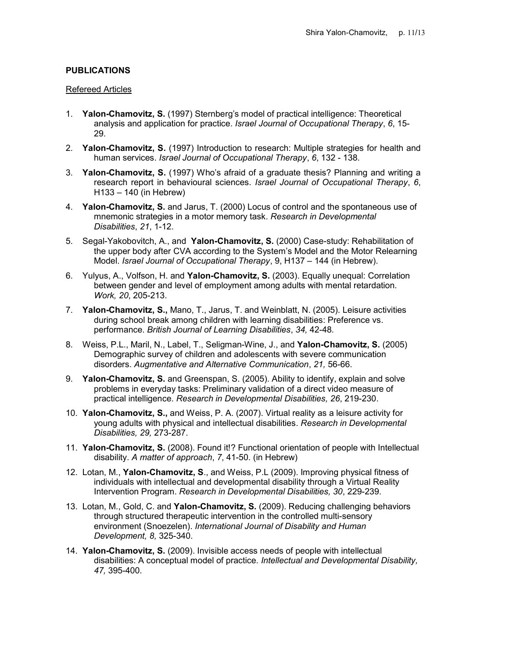## PUBLICATIONS

#### Refereed Articles

- 1. Yalon-Chamovitz, S. (1997) Sternberg's model of practical intelligence: Theoretical analysis and application for practice. Israel Journal of Occupational Therapy, 6, 15- 29.
- 2. Yalon-Chamovitz, S. (1997) Introduction to research: Multiple strategies for health and human services. Israel Journal of Occupational Therapy, 6, 132 - 138.
- 3. Yalon-Chamovitz, S. (1997) Who's afraid of a graduate thesis? Planning and writing a research report in behavioural sciences. Israel Journal of Occupational Therapy, 6, H133 – 140 (in Hebrew)
- 4. Yalon-Chamovitz, S. and Jarus, T. (2000) Locus of control and the spontaneous use of mnemonic strategies in a motor memory task. Research in Developmental Disabilities, 21, 1-12.
- 5. Segal-Yakobovitch, A., and Yalon-Chamovitz, S. (2000) Case-study: Rehabilitation of the upper body after CVA according to the System's Model and the Motor Relearning Model. Israel Journal of Occupational Therapy, 9, H137 – 144 (in Hebrew).
- 6. Yulyus, A., Volfson, H. and Yalon-Chamovitz, S. (2003). Equally unequal: Correlation between gender and level of employment among adults with mental retardation. Work, 20, 205-213.
- 7. Yalon-Chamovitz, S., Mano, T., Jarus, T. and Weinblatt, N. (2005). Leisure activities during school break among children with learning disabilities: Preference vs. performance. British Journal of Learning Disabilities, 34, 42-48.
- 8. Weiss, P.L., Maril, N., Label, T., Seligman-Wine, J., and Yalon-Chamovitz, S. (2005) Demographic survey of children and adolescents with severe communication disorders. Augmentative and Alternative Communication, 21, 56-66.
- 9. Yalon-Chamovitz, S. and Greenspan, S. (2005). Ability to identify, explain and solve problems in everyday tasks: Preliminary validation of a direct video measure of practical intelligence. Research in Developmental Disabilities, 26, 219-230.
- 10. Yalon-Chamovitz, S., and Weiss, P. A. (2007). Virtual reality as a leisure activity for young adults with physical and intellectual disabilities. Research in Developmental Disabilities, 29, 273-287.
- 11. Yalon-Chamovitz, S. (2008). Found it!? Functional orientation of people with Intellectual disability. A matter of approach, 7, 41-50. (in Hebrew)
- 12. Lotan, M., Yalon-Chamovitz, S., and Weiss, P.L (2009). Improving physical fitness of individuals with intellectual and developmental disability through a Virtual Reality Intervention Program. Research in Developmental Disabilities, 30, 229-239.
- 13. Lotan, M., Gold, C. and Yalon-Chamovitz, S. (2009). Reducing challenging behaviors through structured therapeutic intervention in the controlled multi-sensory environment (Snoezelen). International Journal of Disability and Human Development, 8, 325-340.
- 14. Yalon-Chamovitz, S. (2009). Invisible access needs of people with intellectual disabilities: A conceptual model of practice. Intellectual and Developmental Disability, 47, 395-400.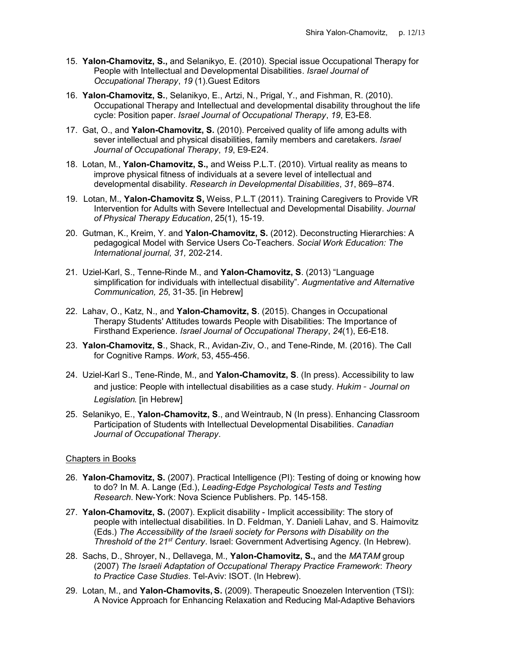- 15. Yalon-Chamovitz, S., and Selanikyo, E. (2010). Special issue Occupational Therapy for People with Intellectual and Developmental Disabilities. Israel Journal of Occupational Therapy, 19 (1).Guest Editors
- 16. Yalon-Chamovitz, S., Selanikyo, E., Artzi, N., Prigal, Y., and Fishman, R. (2010). Occupational Therapy and Intellectual and developmental disability throughout the life cycle: Position paper. Israel Journal of Occupational Therapy, 19, E3-E8.
- 17. Gat, O., and Yalon-Chamovitz, S. (2010). Perceived quality of life among adults with sever intellectual and physical disabilities, family members and caretakers. Israel Journal of Occupational Therapy, 19, E9-E24.
- 18. Lotan, M., Yalon-Chamovitz, S., and Weiss P.L.T. (2010). Virtual reality as means to improve physical fitness of individuals at a severe level of intellectual and developmental disability. Research in Developmental Disabilities, 31, 869–874.
- 19. Lotan, M., Yalon-Chamovitz S, Weiss, P.L.T (2011). Training Caregivers to Provide VR Intervention for Adults with Severe Intellectual and Developmental Disability. Journal of Physical Therapy Education, 25(1), 15-19.
- 20. Gutman, K., Kreim, Y. and Yalon-Chamovitz, S. (2012). Deconstructing Hierarchies: A pedagogical Model with Service Users Co-Teachers. Social Work Education: The International journal, 31, 202-214.
- 21. Uziel-Karl, S., Tenne-Rinde M., and Yalon-Chamovitz, S. (2013) "Language simplification for individuals with intellectual disability". Augmentative and Alternative Communication, 25, 31-35. [in Hebrew]
- 22. Lahav, O., Katz, N., and Yalon-Chamovitz, S. (2015). Changes in Occupational Therapy Students' Attitudes towards People with Disabilities: The Importance of Firsthand Experience. Israel Journal of Occupational Therapy, 24(1), E6-E18.
- 23. Yalon-Chamovitz, S., Shack, R., Avidan-Ziv, O., and Tene-Rinde, M. (2016). The Call for Cognitive Ramps. Work, 53, 455-456.
- 24. Uziel-Karl S., Tene-Rinde, M., and Yalon-Chamovitz, S. (In press). Accessibility to law and justice: People with intellectual disabilities as a case study. Hukim - Journal on Legislation. [in Hebrew]
- 25. Selanikyo, E., Yalon-Chamovitz, S., and Weintraub, N (In press). Enhancing Classroom Participation of Students with Intellectual Developmental Disabilities. Canadian Journal of Occupational Therapy.

#### Chapters in Books

- 26. Yalon-Chamovitz, S. (2007). Practical Intelligence (PI): Testing of doing or knowing how to do? In M. A. Lange (Ed.), Leading-Edge Psychological Tests and Testing Research. New-York: Nova Science Publishers. Pp. 145-158.
- 27. Yalon-Chamovitz, S. (2007). Explicit disability Implicit accessibility: The story of people with intellectual disabilities. In D. Feldman, Y. Danieli Lahav, and S. Haimovitz (Eds.) The Accessibility of the Israeli society for Persons with Disability on the Threshold of the 21<sup>st</sup> Century. Israel: Government Advertising Agency. (In Hebrew).
- 28. Sachs, D., Shroyer, N., Dellavega, M., Yalon-Chamovitz, S., and the MATAM group (2007) The Israeli Adaptation of Occupational Therapy Practice Framework: Theory to Practice Case Studies. Tel-Aviv: ISOT. (In Hebrew).
- 29. Lotan, M., and Yalon-Chamovits, S. (2009). Therapeutic Snoezelen Intervention (TSI): A Novice Approach for Enhancing Relaxation and Reducing Mal-Adaptive Behaviors